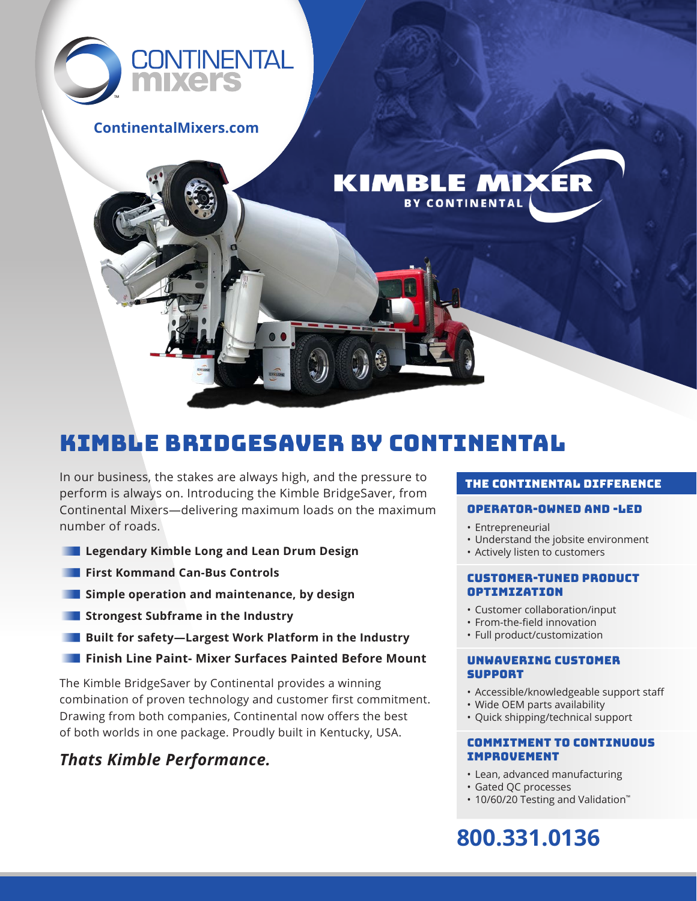

### **ContinentalMixers.com**

# KIMBLE BRIDGESAVER BY CONTINENTAL

In our business, the stakes are always high, and the pressure to perform is always on. Introducing the Kimble BridgeSaver, from Continental Mixers—delivering maximum loads on the maximum number of roads.

- **Legendary Kimble Long and Lean Drum Design**
- **First Kommand Can-Bus Controls**
- **Simple operation and maintenance, by design**
- **Strongest Subframe in the Industry**
- **Built for safety—Largest Work Platform in the Industry**
- **Finish Line Paint- Mixer Surfaces Painted Before Mount**

The Kimble BridgeSaver by Continental provides a winning combination of proven technology and customer first commitment. Drawing from both companies, Continental now offers the best of both worlds in one package. Proudly built in Kentucky, USA.

## *Thats Kimble Performance.*

#### the continental difference

#### Operator-Owned and -Led

• Entrepreneurial

**KIMBLE MIXER BY CONTINENTAL** 

- Understand the jobsite environment
- Actively listen to customers

#### Customer-tuned product optimization

- Customer collaboration/input
- From-the-field innovation
- Full product/customization

#### Unwavering customer support

- Accessible/knowledgeable support staff
- Wide OEM parts availability
- Quick shipping/technical support

#### Commitment to continuous improvement

- Lean, advanced manufacturing
- Gated QC processes
- 10/60/20 Testing and Validation™

## **800.331.0136**